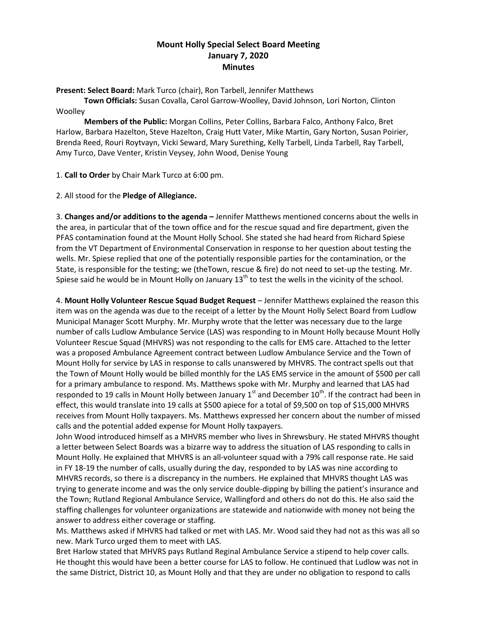## **Mount Holly Special Select Board Meeting January 7, 2020 Minutes**

**Present: Select Board:** Mark Turco (chair), Ron Tarbell, Jennifer Matthews

**Town Officials:** Susan Covalla, Carol Garrow-Woolley, David Johnson, Lori Norton, Clinton **Woolley** 

**Members of the Public:** Morgan Collins, Peter Collins, Barbara Falco, Anthony Falco, Bret Harlow, Barbara Hazelton, Steve Hazelton, Craig Hutt Vater, Mike Martin, Gary Norton, Susan Poirier, Brenda Reed, Rouri Roytvayn, Vicki Seward, Mary Surething, Kelly Tarbell, Linda Tarbell, Ray Tarbell, Amy Turco, Dave Venter, Kristin Veysey, John Wood, Denise Young

1. **Call to Order** by Chair Mark Turco at 6:00 pm.

2. All stood for the **Pledge of Allegiance.**

3. **Changes and/or additions to the agenda –** Jennifer Matthews mentioned concerns about the wells in the area, in particular that of the town office and for the rescue squad and fire department, given the PFAS contamination found at the Mount Holly School. She stated she had heard from Richard Spiese from the VT Department of Environmental Conservation in response to her question about testing the wells. Mr. Spiese replied that one of the potentially responsible parties for the contamination, or the State, is responsible for the testing; we (theTown, rescue & fire) do not need to set-up the testing. Mr. Spiese said he would be in Mount Holly on January  $13<sup>th</sup>$  to test the wells in the vicinity of the school.

4. **Mount Holly Volunteer Rescue Squad Budget Request** – Jennifer Matthews explained the reason this item was on the agenda was due to the receipt of a letter by the Mount Holly Select Board from Ludlow Municipal Manager Scott Murphy. Mr. Murphy wrote that the letter was necessary due to the large number of calls Ludlow Ambulance Service (LAS) was responding to in Mount Holly because Mount Holly Volunteer Rescue Squad (MHVRS) was not responding to the calls for EMS care. Attached to the letter was a proposed Ambulance Agreement contract between Ludlow Ambulance Service and the Town of Mount Holly for service by LAS in response to calls unanswered by MHVRS. The contract spells out that the Town of Mount Holly would be billed monthly for the LAS EMS service in the amount of \$500 per call for a primary ambulance to respond. Ms. Matthews spoke with Mr. Murphy and learned that LAS had responded to 19 calls in Mount Holly between January  $1<sup>st</sup>$  and December  $10<sup>th</sup>$ . If the contract had been in effect, this would translate into 19 calls at \$500 apiece for a total of \$9,500 on top of \$15,000 MHVRS receives from Mount Holly taxpayers. Ms. Matthews expressed her concern about the number of missed calls and the potential added expense for Mount Holly taxpayers.

John Wood introduced himself as a MHVRS member who lives in Shrewsbury. He stated MHVRS thought a letter between Select Boards was a bizarre way to address the situation of LAS responding to calls in Mount Holly. He explained that MHVRS is an all-volunteer squad with a 79% call response rate. He said in FY 18-19 the number of calls, usually during the day, responded to by LAS was nine according to MHVRS records, so there is a discrepancy in the numbers. He explained that MHVRS thought LAS was trying to generate income and was the only service double-dipping by billing the patient's insurance and the Town; Rutland Regional Ambulance Service, Wallingford and others do not do this. He also said the staffing challenges for volunteer organizations are statewide and nationwide with money not being the answer to address either coverage or staffing.

Ms. Matthews asked if MHVRS had talked or met with LAS. Mr. Wood said they had not as this was all so new. Mark Turco urged them to meet with LAS.

Bret Harlow stated that MHVRS pays Rutland Reginal Ambulance Service a stipend to help cover calls. He thought this would have been a better course for LAS to follow. He continued that Ludlow was not in the same District, District 10, as Mount Holly and that they are under no obligation to respond to calls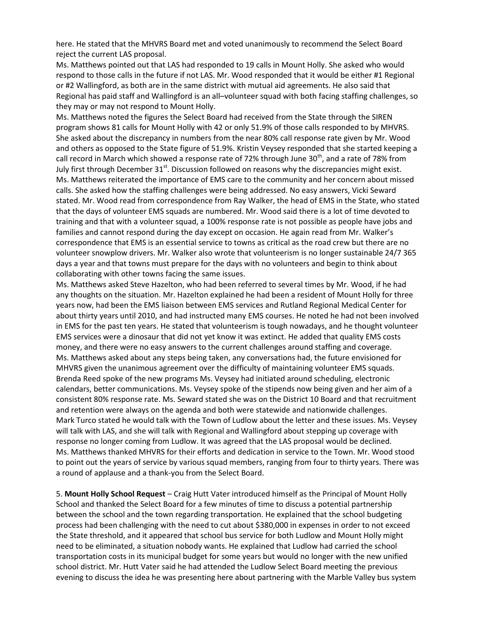here. He stated that the MHVRS Board met and voted unanimously to recommend the Select Board reject the current LAS proposal.

Ms. Matthews pointed out that LAS had responded to 19 calls in Mount Holly. She asked who would respond to those calls in the future if not LAS. Mr. Wood responded that it would be either #1 Regional or #2 Wallingford, as both are in the same district with mutual aid agreements. He also said that Regional has paid staff and Wallingford is an all–volunteer squad with both facing staffing challenges, so they may or may not respond to Mount Holly.

Ms. Matthews noted the figures the Select Board had received from the State through the SIREN program shows 81 calls for Mount Holly with 42 or only 51.9% of those calls responded to by MHVRS. She asked about the discrepancy in numbers from the near 80% call response rate given by Mr. Wood and others as opposed to the State figure of 51.9%. Kristin Veysey responded that she started keeping a call record in March which showed a response rate of 72% through June 30<sup>th</sup>, and a rate of 78% from July first through December  $31<sup>st</sup>$ . Discussion followed on reasons why the discrepancies might exist. Ms. Matthews reiterated the importance of EMS care to the community and her concern about missed calls. She asked how the staffing challenges were being addressed. No easy answers, Vicki Seward stated. Mr. Wood read from correspondence from Ray Walker, the head of EMS in the State, who stated that the days of volunteer EMS squads are numbered. Mr. Wood said there is a lot of time devoted to training and that with a volunteer squad, a 100% response rate is not possible as people have jobs and families and cannot respond during the day except on occasion. He again read from Mr. Walker's correspondence that EMS is an essential service to towns as critical as the road crew but there are no volunteer snowplow drivers. Mr. Walker also wrote that volunteerism is no longer sustainable 24/7 365 days a year and that towns must prepare for the days with no volunteers and begin to think about collaborating with other towns facing the same issues.

Ms. Matthews asked Steve Hazelton, who had been referred to several times by Mr. Wood, if he had any thoughts on the situation. Mr. Hazelton explained he had been a resident of Mount Holly for three years now, had been the EMS liaison between EMS services and Rutland Regional Medical Center for about thirty years until 2010, and had instructed many EMS courses. He noted he had not been involved in EMS for the past ten years. He stated that volunteerism is tough nowadays, and he thought volunteer EMS services were a dinosaur that did not yet know it was extinct. He added that quality EMS costs money, and there were no easy answers to the current challenges around staffing and coverage. Ms. Matthews asked about any steps being taken, any conversations had, the future envisioned for MHVRS given the unanimous agreement over the difficulty of maintaining volunteer EMS squads. Brenda Reed spoke of the new programs Ms. Veysey had initiated around scheduling, electronic calendars, better communications. Ms. Veysey spoke of the stipends now being given and her aim of a consistent 80% response rate. Ms. Seward stated she was on the District 10 Board and that recruitment and retention were always on the agenda and both were statewide and nationwide challenges. Mark Turco stated he would talk with the Town of Ludlow about the letter and these issues. Ms. Veysey will talk with LAS, and she will talk with Regional and Wallingford about stepping up coverage with response no longer coming from Ludlow. It was agreed that the LAS proposal would be declined. Ms. Matthews thanked MHVRS for their efforts and dedication in service to the Town. Mr. Wood stood to point out the years of service by various squad members, ranging from four to thirty years. There was a round of applause and a thank-you from the Select Board.

5. **Mount Holly School Request** – Craig Hutt Vater introduced himself as the Principal of Mount Holly School and thanked the Select Board for a few minutes of time to discuss a potential partnership between the school and the town regarding transportation. He explained that the school budgeting process had been challenging with the need to cut about \$380,000 in expenses in order to not exceed the State threshold, and it appeared that school bus service for both Ludlow and Mount Holly might need to be eliminated, a situation nobody wants. He explained that Ludlow had carried the school transportation costs in its municipal budget for some years but would no longer with the new unified school district. Mr. Hutt Vater said he had attended the Ludlow Select Board meeting the previous evening to discuss the idea he was presenting here about partnering with the Marble Valley bus system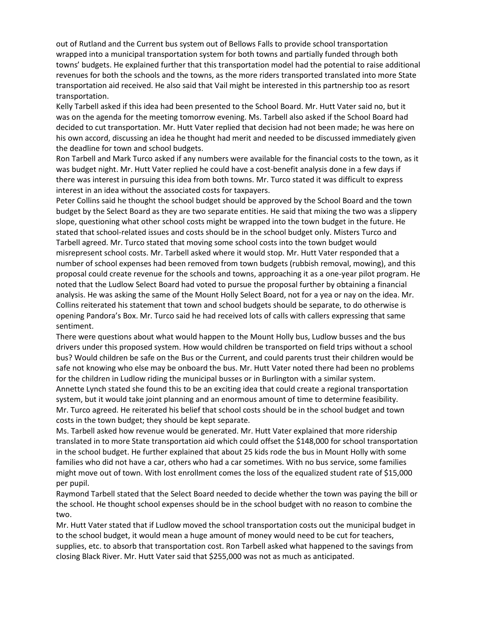out of Rutland and the Current bus system out of Bellows Falls to provide school transportation wrapped into a municipal transportation system for both towns and partially funded through both towns' budgets. He explained further that this transportation model had the potential to raise additional revenues for both the schools and the towns, as the more riders transported translated into more State transportation aid received. He also said that Vail might be interested in this partnership too as resort transportation.

Kelly Tarbell asked if this idea had been presented to the School Board. Mr. Hutt Vater said no, but it was on the agenda for the meeting tomorrow evening. Ms. Tarbell also asked if the School Board had decided to cut transportation. Mr. Hutt Vater replied that decision had not been made; he was here on his own accord, discussing an idea he thought had merit and needed to be discussed immediately given the deadline for town and school budgets.

Ron Tarbell and Mark Turco asked if any numbers were available for the financial costs to the town, as it was budget night. Mr. Hutt Vater replied he could have a cost-benefit analysis done in a few days if there was interest in pursuing this idea from both towns. Mr. Turco stated it was difficult to express interest in an idea without the associated costs for taxpayers.

Peter Collins said he thought the school budget should be approved by the School Board and the town budget by the Select Board as they are two separate entities. He said that mixing the two was a slippery slope, questioning what other school costs might be wrapped into the town budget in the future. He stated that school-related issues and costs should be in the school budget only. Misters Turco and Tarbell agreed. Mr. Turco stated that moving some school costs into the town budget would misrepresent school costs. Mr. Tarbell asked where it would stop. Mr. Hutt Vater responded that a number of school expenses had been removed from town budgets (rubbish removal, mowing), and this proposal could create revenue for the schools and towns, approaching it as a one-year pilot program. He noted that the Ludlow Select Board had voted to pursue the proposal further by obtaining a financial analysis. He was asking the same of the Mount Holly Select Board, not for a yea or nay on the idea. Mr. Collins reiterated his statement that town and school budgets should be separate, to do otherwise is opening Pandora's Box. Mr. Turco said he had received lots of calls with callers expressing that same sentiment.

There were questions about what would happen to the Mount Holly bus, Ludlow busses and the bus drivers under this proposed system. How would children be transported on field trips without a school bus? Would children be safe on the Bus or the Current, and could parents trust their children would be safe not knowing who else may be onboard the bus. Mr. Hutt Vater noted there had been no problems for the children in Ludlow riding the municipal busses or in Burlington with a similar system.

Annette Lynch stated she found this to be an exciting idea that could create a regional transportation system, but it would take joint planning and an enormous amount of time to determine feasibility. Mr. Turco agreed. He reiterated his belief that school costs should be in the school budget and town costs in the town budget; they should be kept separate.

Ms. Tarbell asked how revenue would be generated. Mr. Hutt Vater explained that more ridership translated in to more State transportation aid which could offset the \$148,000 for school transportation in the school budget. He further explained that about 25 kids rode the bus in Mount Holly with some families who did not have a car, others who had a car sometimes. With no bus service, some families might move out of town. With lost enrollment comes the loss of the equalized student rate of \$15,000 per pupil.

Raymond Tarbell stated that the Select Board needed to decide whether the town was paying the bill or the school. He thought school expenses should be in the school budget with no reason to combine the two.

Mr. Hutt Vater stated that if Ludlow moved the school transportation costs out the municipal budget in to the school budget, it would mean a huge amount of money would need to be cut for teachers, supplies, etc. to absorb that transportation cost. Ron Tarbell asked what happened to the savings from closing Black River. Mr. Hutt Vater said that \$255,000 was not as much as anticipated.